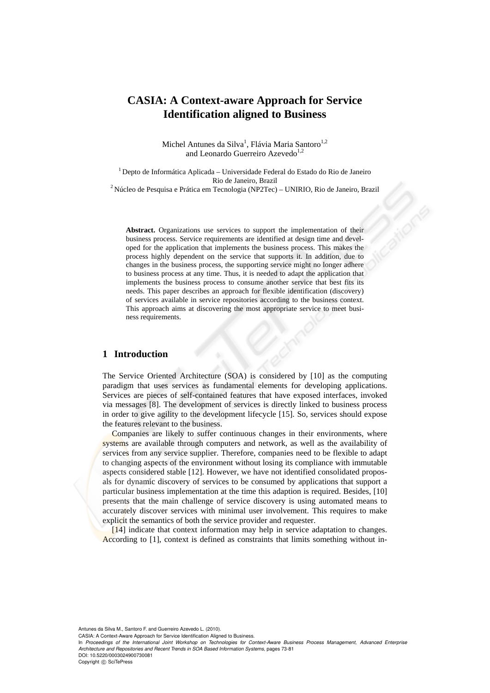# **CASIA: A Context-aware Approach for Service Identification aligned to Business**

Michel Antunes da Silva<sup>1</sup>, Flávia Maria Santoro<sup>1,2</sup> and Leonardo Guerreiro Azevedo $1,2$ 

1 Depto de Informática Aplicada – Universidade Federal do Estado do Rio de Janeiro Rio de Janeiro, Brazil 2 Núcleo de Pesquisa e Prática em Tecnologia (NP2Tec) – UNIRIO, Rio de Janeiro, Brazil

**Abstract.** Organizations use services to support the implementation of their business process. Service requirements are identified at design time and developed for the application that implements the business process. This makes the process highly dependent on the service that supports it. In addition, due to changes in the business process, the supporting service might no longer adhere to business process at any time. Thus, it is needed to adapt the application that implements the business process to consume another service that best fits its needs. This paper describes an approach for flexible identification (discovery) of services available in service repositories according to the business context. This approach aims at discovering the most appropriate service to meet business requirements.

## **1 Introduction**

The Service Oriented Architecture (SOA) is considered by [10] as the computing paradigm that uses services as fundamental elements for developing applications. Services are pieces of self-contained features that have exposed interfaces, invoked via messages [8]. The development of services is directly linked to business process in order to give agility to the development lifecycle [15]. So, services should expose the features relevant to the business.

Companies are likely to suffer continuous changes in their environments, where systems are available through computers and network, as well as the availability of services from any service supplier. Therefore, companies need to be flexible to adapt to changing aspects of the environment without losing its compliance with immutable aspects considered stable [12]. However, we have not identified consolidated proposals for dynamic discovery of services to be consumed by applications that support a particular business implementation at the time this adaption is required. Besides, [10] presents that the main challenge of service discovery is using automated means to accurately discover services with minimal user involvement. This requires to make explicit the semantics of both the service provider and requester.

[14] indicate that context information may help in service adaptation to changes. According to [1], context is defined as constraints that limits something without in-

Antunes da Silva M., Santoro F. and Guerreiro Azevedo L. (2010).

CASIA: A Context-Aware Approach for Service Identification Aligned to Business.

Copyright © SciTePress

In *Proceedings of the International Joint Workshop on Technologies for Context-Aware Business Process Management, Advanced Enterprise Architecture and Repositories and Recent Trends in SOA Based Information Systems*, pages 73-81 DOI: 10.5220/0003024900730081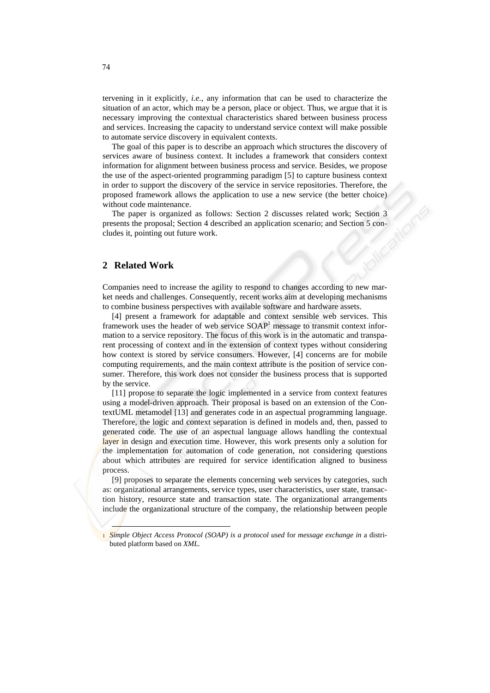tervening in it explicitly, *i.e.*, any information that can be used to characterize the situation of an actor, which may be a person, place or object. Thus, we argue that it is necessary improving the contextual characteristics shared between business process and services. Increasing the capacity to understand service context will make possible to automate service discovery in equivalent contexts.

The goal of this paper is to describe an approach which structures the discovery of services aware of business context. It includes a framework that considers context information for alignment between business process and service. Besides, we propose the use of the aspect-oriented programming paradigm [5] to capture business context in order to support the discovery of the service in service repositories. Therefore, the proposed framework allows the application to use a new service (the better choice) without code maintenance.

The paper is organized as follows: Section 2 discusses related work; Section 3 presents the proposal; Section 4 described an application scenario; and Section 5 concludes it, pointing out future work.

## **2 Related Work**

Companies need to increase the agility to respond to changes according to new market needs and challenges. Consequently, recent works aim at developing mechanisms to combine business perspectives with available software and hardware assets.

[4] present a framework for adaptable and context sensible web services. This framework uses the header of web service SOAP<sup>1</sup> message to transmit context information to a service repository. The focus of this work is in the automatic and transparent processing of context and in the extension of context types without considering how context is stored by service consumers. However, [4] concerns are for mobile computing requirements, and the main context attribute is the position of service consumer. Therefore, this work does not consider the business process that is supported by the service.

[11] propose to separate the logic implemented in a service from context features using a model-driven approach. Their proposal is based on an extension of the ContextUML metamodel [13] and generates code in an aspectual programming language. Therefore, the logic and context separation is defined in models and, then, passed to generated code. The use of an aspectual language allows handling the contextual layer in design and execution time. However, this work presents only a solution for the implementation for automation of code generation, not considering questions about which attributes are required for service identification aligned to business process.

[9] proposes to separate the elements concerning web services by categories, such as: organizational arrangements, service types, user characteristics, user state, transaction history, resource state and transaction state. The organizational arrangements include the organizational structure of the company, the relationship between people

<sup>1</sup> *Simple Object Access Protocol (SOAP) is a protocol used* for *message exchange in* a distributed platform based on *XML.*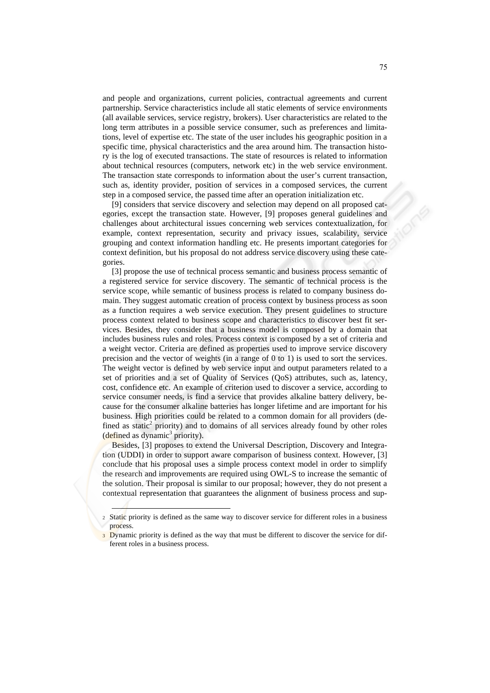and people and organizations, current policies, contractual agreements and current partnership. Service characteristics include all static elements of service environments (all available services, service registry, brokers). User characteristics are related to the long term attributes in a possible service consumer, such as preferences and limitations, level of expertise etc. The state of the user includes his geographic position in a specific time, physical characteristics and the area around him. The transaction history is the log of executed transactions. The state of resources is related to information about technical resources (computers, network etc) in the web service environment. The transaction state corresponds to information about the user's current transaction, such as, identity provider, position of services in a composed services, the current step in a composed service, the passed time after an operation initialization etc.

[9] considers that service discovery and selection may depend on all proposed categories, except the transaction state. However, [9] proposes general guidelines and challenges about architectural issues concerning web services contextualization, for example, context representation, security and privacy issues, scalability, service grouping and context information handling etc. He presents important categories for context definition, but his proposal do not address service discovery using these categories.

[3] propose the use of technical process semantic and business process semantic of a registered service for service discovery. The semantic of technical process is the service scope, while semantic of business process is related to company business domain. They suggest automatic creation of process context by business process as soon as a function requires a web service execution. They present guidelines to structure process context related to business scope and characteristics to discover best fit services. Besides, they consider that a business model is composed by a domain that includes business rules and roles. Process context is composed by a set of criteria and a weight vector. Criteria are defined as properties used to improve service discovery precision and the vector of weights (in a range of 0 to 1) is used to sort the services. The weight vector is defined by web service input and output parameters related to a set of priorities and a set of Quality of Services (QoS) attributes, such as, latency, cost, confidence etc. An example of criterion used to discover a service, according to service consumer needs, is find a service that provides alkaline battery delivery, because for the consumer alkaline batteries has longer lifetime and are important for his business. High priorities could be related to a common domain for all providers (defined as static<sup>2</sup> priority) and to domains of all services already found by other roles  $(defined as dynamic<sup>3</sup> priority).$ 

Besides, [3] proposes to extend the Universal Description, Discovery and Integration (UDDI) in order to support aware comparison of business context. However, [3] conclude that his proposal uses a simple process context model in order to simplify the research and improvements are required using OWL-S to increase the semantic of the solution. Their proposal is similar to our proposal; however, they do not present a contextual representation that guarantees the alignment of business process and sup-

l

<sup>2</sup> Static priority is defined as the same way to discover service for different roles in a business process.

Dynamic priority is defined as the way that must be different to discover the service for different roles in a business process.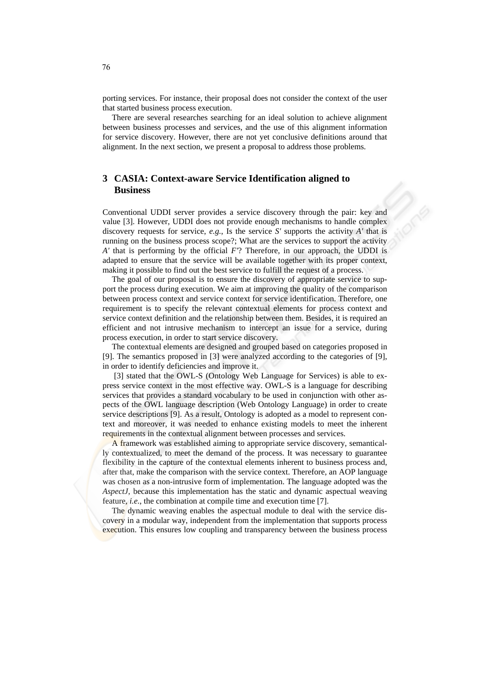porting services. For instance, their proposal does not consider the context of the user that started business process execution.

There are several researches searching for an ideal solution to achieve alignment between business processes and services, and the use of this alignment information for service discovery. However, there are not yet conclusive definitions around that alignment. In the next section, we present a proposal to address those problems.

## **3 CASIA: Context-aware Service Identification aligned to Business**

Conventional UDDI server provides a service discovery through the pair: key and value [3]. However, UDDI does not provide enough mechanisms to handle complex discovery requests for service, *e.g.*, Is the service *S'* supports the activity *A'* that is running on the business process scope?; What are the services to support the activity *A'* that is performing by the official *F'*? Therefore, in our approach, the UDDI is adapted to ensure that the service will be available together with its proper context, making it possible to find out the best service to fulfill the request of a process.

The goal of our proposal is to ensure the discovery of appropriate service to support the process during execution. We aim at improving the quality of the comparison between process context and service context for service identification. Therefore, one requirement is to specify the relevant contextual elements for process context and service context definition and the relationship between them. Besides, it is required an efficient and not intrusive mechanism to intercept an issue for a service, during process execution, in order to start service discovery.

The contextual elements are designed and grouped based on categories proposed in [9]. The semantics proposed in [3] were analyzed according to the categories of [9], in order to identify deficiencies and improve it.

 [3] stated that the OWL-S (Ontology Web Language for Services) is able to express service context in the most effective way. OWL-S is a language for describing services that provides a standard vocabulary to be used in conjunction with other aspects of the OWL language description (Web Ontology Language) in order to create service descriptions [9]. As a result, Ontology is adopted as a model to represent context and moreover, it was needed to enhance existing models to meet the inherent requirements in the contextual alignment between processes and services.

A framework was established aiming to appropriate service discovery, semantically contextualized, to meet the demand of the process. It was necessary to guarantee flexibility in the capture of the contextual elements inherent to business process and, after that, make the comparison with the service context. Therefore, an AOP language was chosen as a non-intrusive form of implementation. The language adopted was the *AspectJ*, because this implementation has the static and dynamic aspectual weaving feature, *i.e.*, the combination at compile time and execution time [7].

The dynamic weaving enables the aspectual module to deal with the service discovery in a modular way, independent from the implementation that supports process execution. This ensures low coupling and transparency between the business process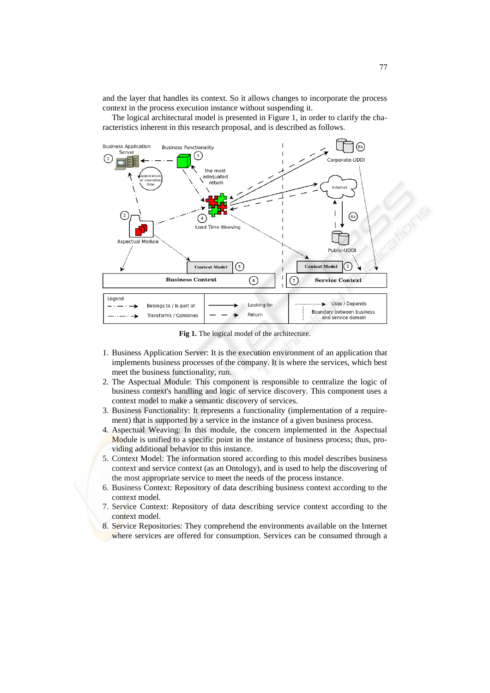and the layer that handles its context. So it allows changes to incorporate the process context in the process execution instance without suspending it.

The logical architectural model is presented in Figure 1, in order to clarify the characteristics inherent in this research proposal, and is described as follows.



**Fig 1.** The logical model of the architecture.

- 1. Business Application Server: It is the execution environment of an application that implements business processes of the company. It is where the services, which best meet the business functionality, run.
- 2. The Aspectual Module: This component is responsible to centralize the logic of business context's handling and logic of service discovery. This component uses a context model to make a semantic discovery of services.
- 3. Business Functionality: It represents a functionality (implementation of a requirement) that is supported by a service in the instance of a given business process.
- 4. Aspectual Weaving: In this module, the concern implemented in the Aspectual Module is unified to a specific point in the instance of business process; thus, providing additional behavior to this instance.
- 5. Context Model: The information stored according to this model describes business context and service context (as an Ontology), and is used to help the discovering of the most appropriate service to meet the needs of the process instance.
- 6. Business Context: Repository of data describing business context according to the context model.
- 7. Service Context: Repository of data describing service context according to the context model.
- 8. Service Repositories: They comprehend the environments available on the Internet where services are offered for consumption. Services can be consumed through a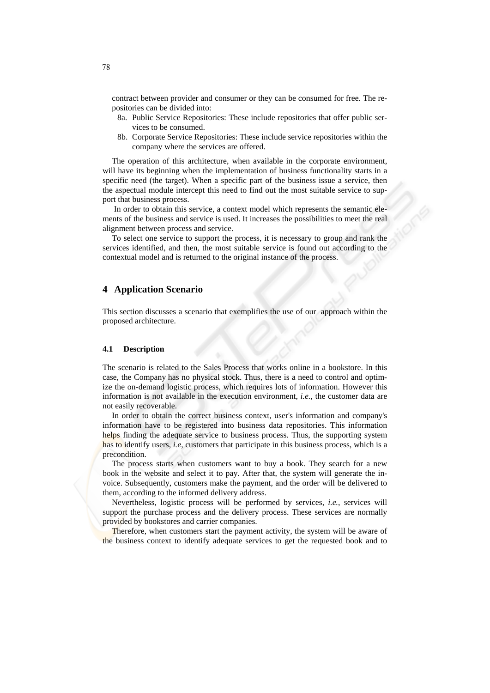contract between provider and consumer or they can be consumed for free. The repositories can be divided into:

- 8a. Public Service Repositories: These include repositories that offer public services to be consumed.
- 8b. Corporate Service Repositories: These include service repositories within the company where the services are offered.

The operation of this architecture, when available in the corporate environment, will have its beginning when the implementation of business functionality starts in a specific need (the target). When a specific part of the business issue a service, then the aspectual module intercept this need to find out the most suitable service to support that business process.

 In order to obtain this service, a context model which represents the semantic elements of the business and service is used. It increases the possibilities to meet the real alignment between process and service.

To select one service to support the process, it is necessary to group and rank the services identified, and then, the most suitable service is found out according to the contextual model and is returned to the original instance of the process.

### **4 Application Scenario**

This section discusses a scenario that exemplifies the use of our approach within the proposed architecture.

#### **4.1 Description**

The scenario is related to the Sales Process that works online in a bookstore. In this case, the Company has no physical stock. Thus, there is a need to control and optimize the on-demand logistic process, which requires lots of information. However this information is not available in the execution environment, *i.e.*, the customer data are not easily recoverable.

In order to obtain the correct business context, user's information and company's information have to be registered into business data repositories. This information helps finding the adequate service to business process. Thus, the supporting system has to identify users, *i.e*, customers that participate in this business process, which is a precondition.

The process starts when customers want to buy a book. They search for a new book in the website and select it to pay. After that, the system will generate the invoice. Subsequently, customers make the payment, and the order will be delivered to them, according to the informed delivery address.

Nevertheless, logistic process will be performed by services, *i.e.*, services will support the purchase process and the delivery process. These services are normally provided by bookstores and carrier companies.

Therefore, when customers start the payment activity, the system will be aware of the business context to identify adequate services to get the requested book and to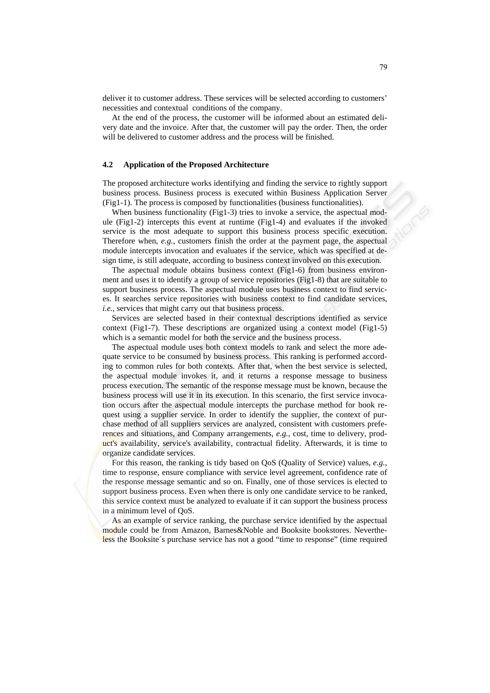deliver it to customer address. These services will be selected according to customers' necessities and contextual conditions of the company.

At the end of the process, the customer will be informed about an estimated delivery date and the invoice. After that, the customer will pay the order. Then, the order will be delivered to customer address and the process will be finished.

#### **4.2 Application of the Proposed Architecture**

The proposed architecture works identifying and finding the service to rightly support business process. Business process is executed within Business Application Server (Fig1-1). The process is composed by functionalities (business functionalities).

When business functionality (Fig1-3) tries to invoke a service, the aspectual module (Fig1-2) intercepts this event at runtime (Fig1-4) and evaluates if the invoked service is the most adequate to support this business process specific execution. Therefore when, *e.g.*, customers finish the order at the payment page, the aspectual module intercepts invocation and evaluates if the service, which was specified at design time, is still adequate, according to business context involved on this execution.

The aspectual module obtains business context (Fig1-6) from business environment and uses it to identify a group of service repositories (Fig1-8) that are suitable to support business process. The aspectual module uses business context to find services. It searches service repositories with business context to find candidate services, *i.e.*, services that might carry out that business process.

Services are selected based in their contextual descriptions identified as service context (Fig1-7). These descriptions are organized using a context model (Fig1-5) which is a semantic model for both the service and the business process.

The aspectual module uses both context models to rank and select the more adequate service to be consumed by business process. This ranking is performed according to common rules for both contexts. After that, when the best service is selected, the aspectual module invokes it, and it returns a response message to business process execution. The semantic of the response message must be known, because the business process will use it in its execution. In this scenario, the first service invocation occurs after the aspectual module intercepts the purchase method for book request using a supplier service. In order to identify the supplier, the context of purchase method of all suppliers services are analyzed, consistent with customers preferences and situations, and Company arrangements, *e.g.*, cost, time to delivery, product's availability, service's availability, contractual fidelity. Afterwards, it is time to organize candidate services.

For this reason, the ranking is tidy based on QoS (Quality of Service) values, *e.g.*, time to response, ensure compliance with service level agreement, confidence rate of the response message semantic and so on. Finally, one of those services is elected to support business process. Even when there is only one candidate service to be ranked, this service context must be analyzed to evaluate if it can support the business process in a minimum level of QoS.

As an example of service ranking, the purchase service identified by the aspectual module could be from Amazon, Barnes&Noble and Booksite bookstores. Nevertheless the Booksite´s purchase service has not a good "time to response" (time required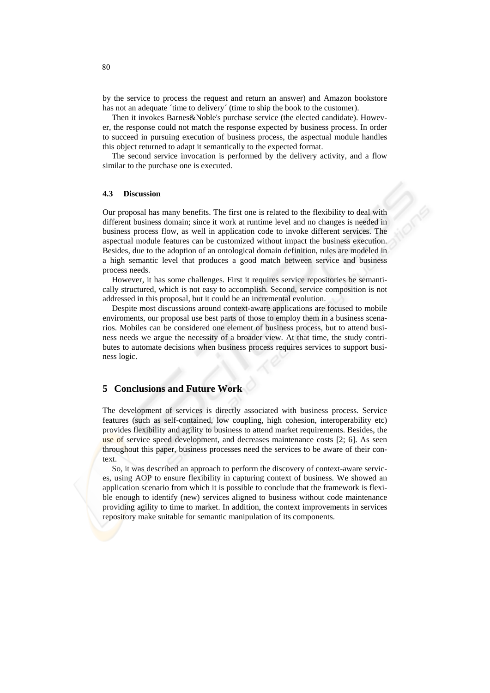by the service to process the request and return an answer) and Amazon bookstore has not an adequate 'time to delivery' (time to ship the book to the customer).

Then it invokes Barnes&Noble's purchase service (the elected candidate). However, the response could not match the response expected by business process. In order to succeed in pursuing execution of business process, the aspectual module handles this object returned to adapt it semantically to the expected format.

The second service invocation is performed by the delivery activity, and a flow similar to the purchase one is executed.

#### **4.3 Discussion**

Our proposal has many benefits. The first one is related to the flexibility to deal with different business domain; since it work at runtime level and no changes is needed in business process flow, as well in application code to invoke different services. The aspectual module features can be customized without impact the business execution. Besides, due to the adoption of an ontological domain definition, rules are modeled in a high semantic level that produces a good match between service and business process needs.

However, it has some challenges. First it requires service repositories be semantically structured, which is not easy to accomplish. Second, service composition is not addressed in this proposal, but it could be an incremental evolution.

Despite most discussions around context-aware applications are focused to mobile enviroments, our proposal use best parts of those to employ them in a business scenarios. Mobiles can be considered one element of business process, but to attend business needs we argue the necessity of a broader view. At that time, the study contributes to automate decisions when business process requires services to support business logic.

## **5 Conclusions and Future Work**

The development of services is directly associated with business process. Service features (such as self-contained, low coupling, high cohesion, interoperability etc) provides flexibility and agility to business to attend market requirements. Besides, the use of service speed development, and decreases maintenance costs [2; 6]. As seen throughout this paper, business processes need the services to be aware of their context.

So, it was described an approach to perform the discovery of context-aware services, using AOP to ensure flexibility in capturing context of business. We showed an application scenario from which it is possible to conclude that the framework is flexible enough to identify (new) services aligned to business without code maintenance providing agility to time to market. In addition, the context improvements in services repository make suitable for semantic manipulation of its components.